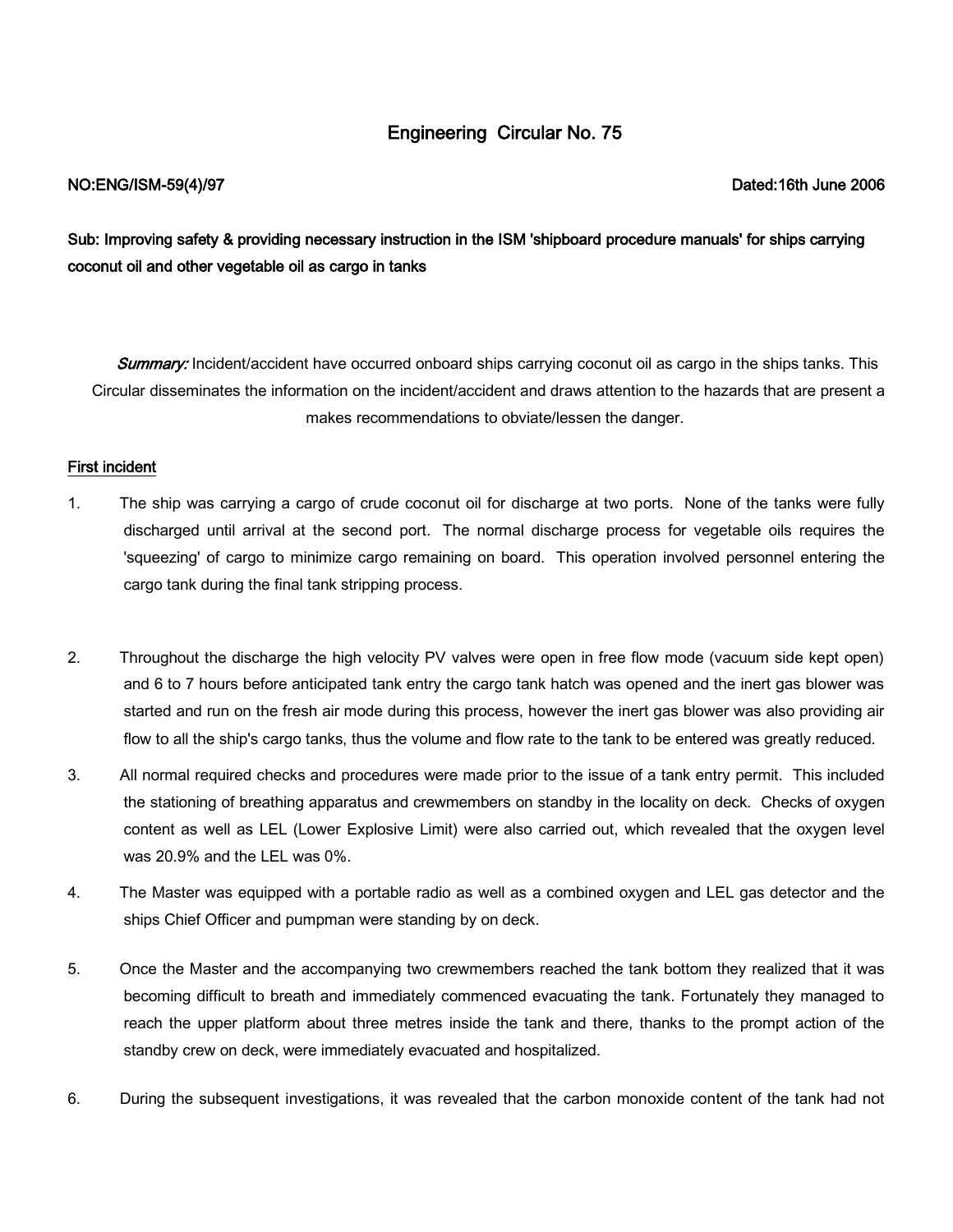# Engineering Circular No. 75

# NO:ENG/ISM-59(4)/97 Dated:16th June 2006

Sub: Improving safety & providing necessary instruction in the ISM 'shipboard procedure manuals' for ships carrying coconut oil and other vegetable oil as cargo in tanks

Summary: Incident/accident have occurred onboard ships carrying coconut oil as cargo in the ships tanks. This Circular disseminates the information on the incident/accident and draws attention to the hazards that are present a makes recommendations to obviate/lessen the danger.

## First incident

- 1. The ship was carrying a cargo of crude coconut oil for discharge at two ports. None of the tanks were fully discharged until arrival at the second port. The normal discharge process for vegetable oils requires the 'squeezing' of cargo to minimize cargo remaining on board. This operation involved personnel entering the cargo tank during the final tank stripping process.
- 2. Throughout the discharge the high velocity PV valves were open in free flow mode (vacuum side kept open) and 6 to 7 hours before anticipated tank entry the cargo tank hatch was opened and the inert gas blower was started and run on the fresh air mode during this process, however the inert gas blower was also providing air flow to all the ship's cargo tanks, thus the volume and flow rate to the tank to be entered was greatly reduced.
- 3. All normal required checks and procedures were made prior to the issue of a tank entry permit. This included the stationing of breathing apparatus and crewmembers on standby in the locality on deck. Checks of oxygen content as well as LEL (Lower Explosive Limit) were also carried out, which revealed that the oxygen level was 20.9% and the LEL was 0%.
- 4. The Master was equipped with a portable radio as well as a combined oxygen and LEL gas detector and the ships Chief Officer and pumpman were standing by on deck.
- 5. Once the Master and the accompanying two crewmembers reached the tank bottom they realized that it was becoming difficult to breath and immediately commenced evacuating the tank. Fortunately they managed to reach the upper platform about three metres inside the tank and there, thanks to the prompt action of the standby crew on deck, were immediately evacuated and hospitalized.
- 6. During the subsequent investigations, it was revealed that the carbon monoxide content of the tank had not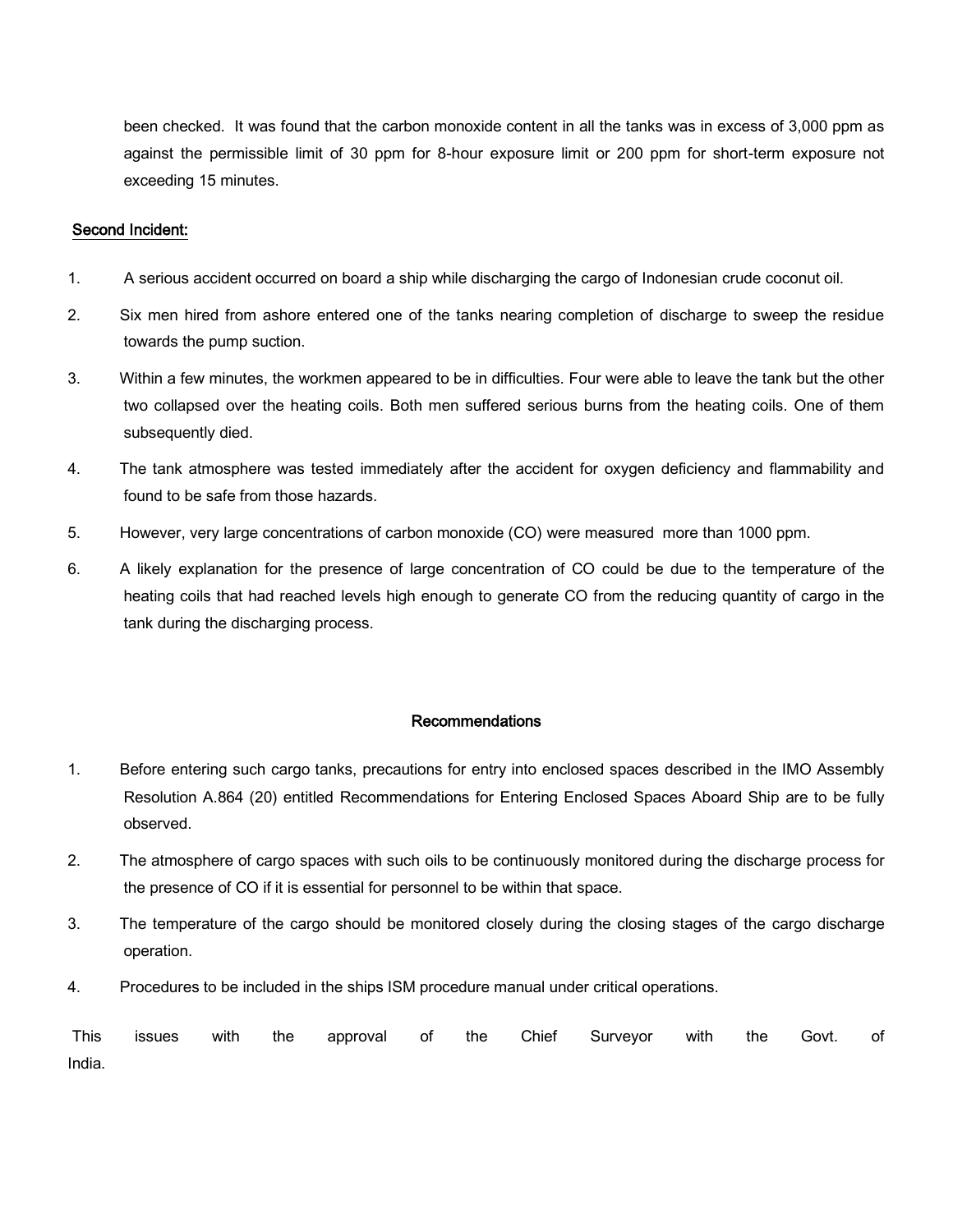been checked. It was found that the carbon monoxide content in all the tanks was in excess of 3,000 ppm as against the permissible limit of 30 ppm for 8-hour exposure limit or 200 ppm for short-term exposure not exceeding 15 minutes.

### Second Incident:

- 1. A serious accident occurred on board a ship while discharging the cargo of Indonesian crude coconut oil.
- 2. Six men hired from ashore entered one of the tanks nearing completion of discharge to sweep the residue towards the pump suction.
- 3. Within a few minutes, the workmen appeared to be in difficulties. Four were able to leave the tank but the other two collapsed over the heating coils. Both men suffered serious burns from the heating coils. One of them subsequently died.
- 4. The tank atmosphere was tested immediately after the accident for oxygen deficiency and flammability and found to be safe from those hazards.
- 5. However, very large concentrations of carbon monoxide (CO) were measured more than 1000 ppm.
- 6. A likely explanation for the presence of large concentration of CO could be due to the temperature of the heating coils that had reached levels high enough to generate CO from the reducing quantity of cargo in the tank during the discharging process.

#### Recommendations

- 1. Before entering such cargo tanks, precautions for entry into enclosed spaces described in the IMO Assembly Resolution A.864 (20) entitled Recommendations for Entering Enclosed Spaces Aboard Ship are to be fully observed.
- 2. The atmosphere of cargo spaces with such oils to be continuously monitored during the discharge process for the presence of CO if it is essential for personnel to be within that space.
- 3. The temperature of the cargo should be monitored closely during the closing stages of the cargo discharge operation.
- 4. Procedures to be included in the ships ISM procedure manual under critical operations.

|        |  |  |  | This issues with the approval of the Chief Surveyor with the Govt. of |  |  |
|--------|--|--|--|-----------------------------------------------------------------------|--|--|
| India. |  |  |  |                                                                       |  |  |